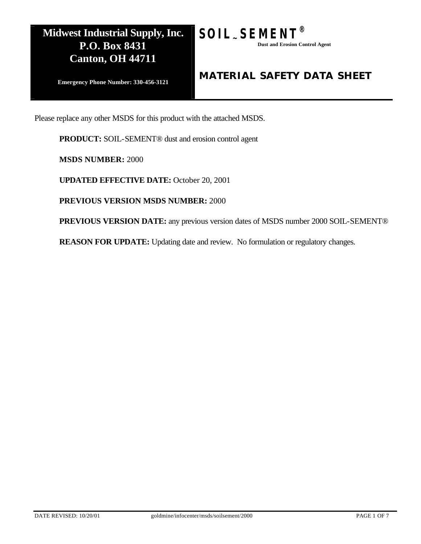

**Emergency Phone Number: 330-456-3121**

### *MATERIAL SAFETY DATA SHEET*

Please replace any other MSDS for this product with the attached MSDS.

**PRODUCT:** SOIL-SEMENT® dust and erosion control agent

**MSDS NUMBER:** 2000

**UPDATED EFFECTIVE DATE:** October 20, 2001

**PREVIOUS VERSION MSDS NUMBER:** 2000

**PREVIOUS VERSION DATE:** any previous version dates of MSDS number 2000 SOIL-SEMENT®

**REASON FOR UPDATE:** Updating date and review. No formulation or regulatory changes.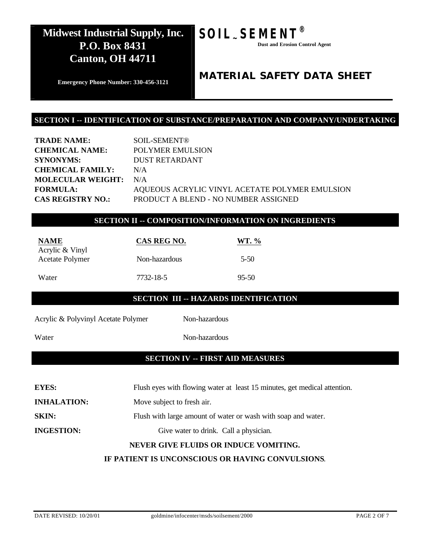# **SOIL~SEMENT®**

 **Dust and Erosion Control Agent**

**Emergency Phone Number: 330-456-3121**

### *MATERIAL SAFETY DATA SHEET*

### **SECTION I -- IDENTIFICATION OF SUBSTANCE/PREPARATION AND COMPANY/UNDERTAKING**

| <b>TRADE NAME:</b>           | <b>SOIL-SEMENT®</b>                            |
|------------------------------|------------------------------------------------|
| <b>CHEMICAL NAME:</b>        | POLYMER EMULSION                               |
| <b>SYNONYMS:</b>             | <b>DUST RETARDANT</b>                          |
| <b>CHEMICAL FAMILY:</b>      | N/A                                            |
| <b>MOLECULAR WEIGHT:</b> N/A |                                                |
| <b>FORMULA:</b>              | AQUEOUS ACRYLIC VINYL ACETATE POLYMER EMULSION |
| <b>CAS REGISTRY NO.:</b>     | PRODUCT A BLEND - NO NUMBER ASSIGNED           |
|                              |                                                |

### **SECTION II -- COMPOSITION/INFORMATION ON INGREDIENTS**

| <b>NAME</b><br>Acrylic & Vinyl | CAS REG NO.   | WT. $\%$  |
|--------------------------------|---------------|-----------|
| <b>Acetate Polymer</b>         | Non-hazardous | $5 - 50$  |
| Water                          | 7732-18-5     | $95 - 50$ |

### **SECTION III -- HAZARDS IDENTIFICATION**

Acrylic & Polyvinyl Acetate Polymer Non-hazardous

Water Non-hazardous

### **SECTION IV -- FIRST AID MEASURES**

| <b>EYES:</b>       | Flush eyes with flowing water at least 15 minutes, get medical attention. |
|--------------------|---------------------------------------------------------------------------|
| <b>INHALATION:</b> | Move subject to fresh air.                                                |
| <b>SKIN:</b>       | Flush with large amount of water or wash with soap and water.             |
| <b>INGESTION:</b>  | Give water to drink. Call a physician.                                    |
|                    | NEVER GIVE FLUIDS OR INDUCE VOMITING.                                     |

### **IF PATIENT IS UNCONSCIOUS OR HAVING CONVULSIONS**.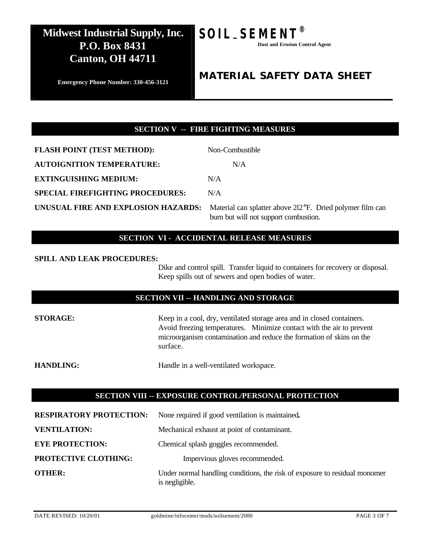

 **Dust and Erosion Control Agent**

**Emergency Phone Number: 330-456-3121**

### *MATERIAL SAFETY DATA SHEET*

### **SECTION V -- FIRE FIGHTING MEASURES**

**FLASH POINT (TEST METHOD):** Non-Combustible **AUTOIGNITION TEMPERATURE:** N/A **EXTINGUISHING MEDIUM:** N/A **SPECIAL FIREFIGHTING PROCEDURES:** N/A **UNUSUAL FIRE AND EXPLOSION HAZARDS:** Material can splatter above 2l2°F. Dried polymer film can

burn but will not support combustion.

### **SECTION VI - ACCIDENTAL RELEASE MEASURES**

#### **SPILL AND LEAK PROCEDURES:**

Dike and control spill. Transfer liquid to containers for recovery or disposal. Keep spills out of sewers and open bodies of water.

#### **SECTION VII -- HANDLING AND STORAGE**

**STORAGE:** Keep in a cool, dry, ventilated storage area and in closed containers. Avoid freezing temperatures. Minimize contact with the air to prevent microorganism contamination and reduce the formation of skins on the surface.

**HANDLING:** Handle in a well-ventilated workspace.

### **SECTION VIII -- EXPOSURE CONTROL/PERSONAL PROTECTION**

| <b>RESPIRATORY PROTECTION:</b> | None required if good ventilation is maintained.                                             |
|--------------------------------|----------------------------------------------------------------------------------------------|
| <b>VENTILATION:</b>            | Mechanical exhaust at point of contaminant.                                                  |
| <b>EYE PROTECTION:</b>         | Chemical splash goggles recommended.                                                         |
| PROTECTIVE CLOTHING:           | Impervious gloves recommended.                                                               |
| <b>OTHER:</b>                  | Under normal handling conditions, the risk of exposure to residual monomer<br>is negligible. |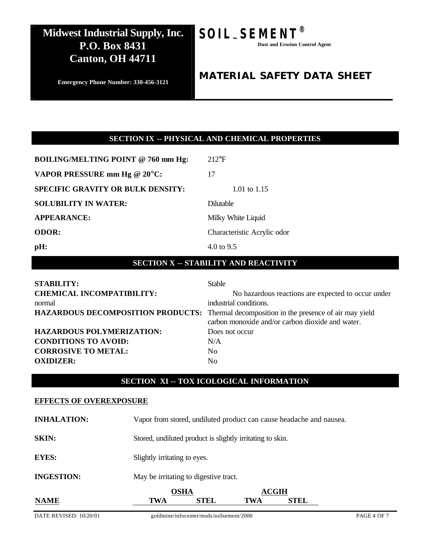# **SOIL~SEMENT®**

 **Dust and Erosion Control Agent**

#### **Emergency Phone Number: 330-456-3121**

### *MATERIAL SAFETY DATA SHEET*

### **SECTION IX -- PHYSICAL AND CHEMICAL PROPERTIES**

| <b>BOILING/MELTING POINT @ 760 mm Hg:</b> | $212$ °F                    |
|-------------------------------------------|-----------------------------|
| VAPOR PRESSURE mm Hg @ 20°C:              | 17                          |
| <b>SPECIFIC GRAVITY OR BULK DENSITY:</b>  | 1.01 to 1.15                |
| <b>SOLUBILITY IN WATER:</b>               | <b>Dilutable</b>            |
| <b>APPEARANCE:</b>                        | Milky White Liquid          |
| <b>ODOR:</b>                              | Characteristic Acrylic odor |
| pH:                                       | $4.0 \text{ to } 9.5$       |

### **SECTION X -- STABILITY AND REACTIVITY**

| <b>STABILITY:</b>                                                                        | <b>Stable</b>                                      |
|------------------------------------------------------------------------------------------|----------------------------------------------------|
| <b>CHEMICAL INCOMPATIBILITY:</b>                                                         | No hazardous reactions are expected to occur under |
| normal                                                                                   | industrial conditions.                             |
| HAZARDOUS DECOMPOSITION PRODUCTS: Thermal decomposition in the presence of air may yield | carbon monoxide and/or carbon dioxide and water.   |
| <b>HAZARDOUS POLYMERIZATION:</b>                                                         | Does not occur                                     |
|                                                                                          |                                                    |
| <b>CONDITIONS TO AVOID:</b>                                                              | N/A                                                |
| <b>CORROSIVE TO METAL:</b>                                                               | N <sub>0</sub>                                     |
| <b>OXIDIZER:</b>                                                                         | N <sub>0</sub>                                     |

### **SECTION XI -- TOX ICOLOGICAL INFORMATION**

#### **EFFECTS OF OVEREXPOSURE**

| <b>NAME</b>        | <b>OSHA</b><br><b>STEL</b><br>TWA                                   | <b>ACGIH</b><br>STEL<br>TWA |  |
|--------------------|---------------------------------------------------------------------|-----------------------------|--|
| <b>INGESTION:</b>  | May be irritating to digestive tract.                               |                             |  |
| <b>EYES:</b>       | Slightly irritating to eyes.                                        |                             |  |
| <b>SKIN:</b>       | Stored, undiluted product is slightly irritating to skin.           |                             |  |
| <b>INHALATION:</b> | Vapor from stored, undiluted product can cause headache and nausea. |                             |  |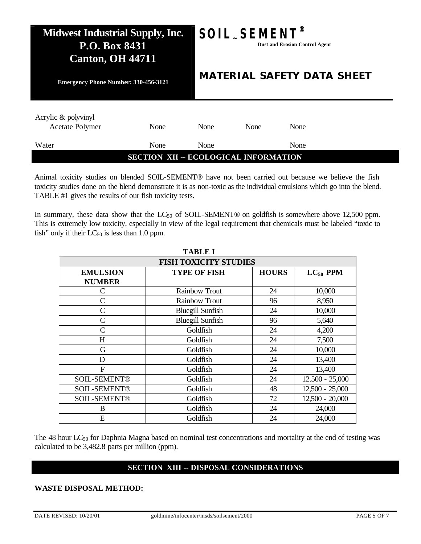# **Midwest Industrial Supply, Inc. P.O. Box 8431 Canton, OH 44711 Emergency Phone Number: 330-456-3121**  $SOL$ *\_SEME*  **Dust and Erosion Control Agent** *MATERIAL SAFETY DATA SHEET*  Acrylic & polyvinyl Acetate Polymer None None None None None Water None None None None **SECTION XII -- ECOLOGICAL INFORMATION**

Animal toxicity studies on blended SOIL-SEMENT® have not been carried out because we believe the fish toxicity studies done on the blend demonstrate it is as non-toxic as the individual emulsions which go into the blend. TABLE #1 gives the results of our fish toxicity tests.

In summary, these data show that the  $LC_{50}$  of SOIL-SEMENT® on goldfish is somewhere above 12,500 ppm. This is extremely low toxicity, especially in view of the legal requirement that chemicals must be labeled "toxic to fish" only if their  $LC_{50}$  is less than 1.0 ppm.

| <b>TABLE I</b>               |                         |              |                   |
|------------------------------|-------------------------|--------------|-------------------|
| <b>FISH TOXICITY STUDIES</b> |                         |              |                   |
| <b>EMULSION</b>              | <b>TYPE OF FISH</b>     | <b>HOURS</b> | $LC_{50}$ PPM     |
| <b>NUMBER</b>                |                         |              |                   |
| $\mathsf{C}$                 | <b>Rainbow Trout</b>    | 24           | 10,000            |
| $\mathcal{C}$                | <b>Rainbow Trout</b>    | 96           | 8,950             |
| $\mathcal{C}$                | <b>Bluegill Sunfish</b> | 24           | 10,000            |
| $\mathcal{C}$                | <b>Bluegill Sunfish</b> | 96           | 5,640             |
| $\mathcal{C}$                | Goldfish                | 24           | 4,200             |
| H                            | Goldfish                | 24           | 7,500             |
| G                            | Goldfish                | 24           | 10,000            |
| D                            | Goldfish                | 24           | 13,400            |
| $\mathbf F$                  | Goldfish                | 24           | 13,400            |
| <b>SOIL-SEMENT®</b>          | Goldfish                | 24           | $12.500 - 25,000$ |
| <b>SOIL-SEMENT®</b>          | Goldfish                | 48           | $12,500 - 25,000$ |
| <b>SOIL-SEMENT®</b>          | Goldfish                | 72           | $12,500 - 20,000$ |
| B                            | Goldfish                | 24           | 24,000            |
| E                            | Goldfish                | 24           | 24,000            |

The 48 hour LC<sub>50</sub> for Daphnia Magna based on nominal test concentrations and mortality at the end of testing was calculated to be 3,482.8 parts per million (ppm).

### **SECTION XIII -- DISPOSAL CONSIDERATIONS**

### **WASTE DISPOSAL METHOD:**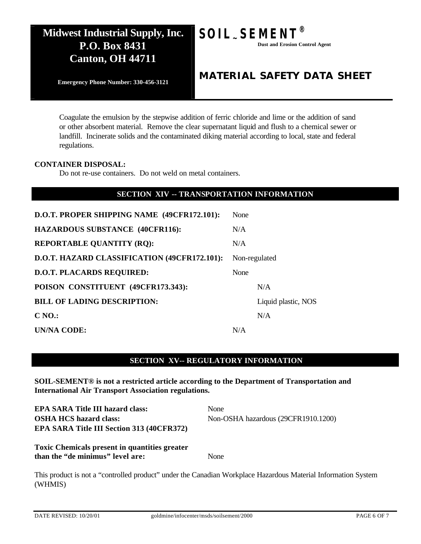

*MATERIAL SAFETY DATA SHEET* 

**Emergency Phone Number: 330-456-3121**

Coagulate the emulsion by the stepwise addition of ferric chloride and lime or the addition of sand or other absorbent material. Remove the clear supernatant liquid and flush to a chemical sewer or landfill. Incinerate solids and the contaminated diking material according to local, state and federal regulations.

### **CONTAINER DISPOSAL:**

Do not re-use containers. Do not weld on metal containers.

### **SECTION XIV -- TRANSPORTATION INFORMATION**

| D.O.T. PROPER SHIPPING NAME (49CFR172.101):  | None |                     |
|----------------------------------------------|------|---------------------|
| <b>HAZARDOUS SUBSTANCE (40CFR116):</b>       | N/A  |                     |
| <b>REPORTABLE QUANTITY (RQ):</b>             | N/A  |                     |
| D.O.T. HAZARD CLASSIFICATION (49CFR172.101): |      | Non-regulated       |
| <b>D.O.T. PLACARDS REQUIRED:</b>             | None |                     |
| POISON CONSTITUENT (49CFR173.343):           |      | N/A                 |
| <b>BILL OF LADING DESCRIPTION:</b>           |      | Liquid plastic, NOS |
| C <sub>NO.</sub>                             |      | N/A                 |
| UN/NA CODE:                                  | N/A  |                     |

### **SECTION XV-- REGULATORY INFORMATION**

**SOIL-SEMENT® is not a restricted article according to the Department of Transportation and International Air Transport Association regulations.**

**EPA SARA Title III hazard class:** None **OSHA HCS hazard class:** Non-OSHA hazardous (29CFR1910.1200) **EPA SARA Title III Section 313 (40CFR372)** 

**Toxic Chemicals present in quantities greater than the "de minimus" level are:** None

This product is not a "controlled product" under the Canadian Workplace Hazardous Material Information System (WHMIS)